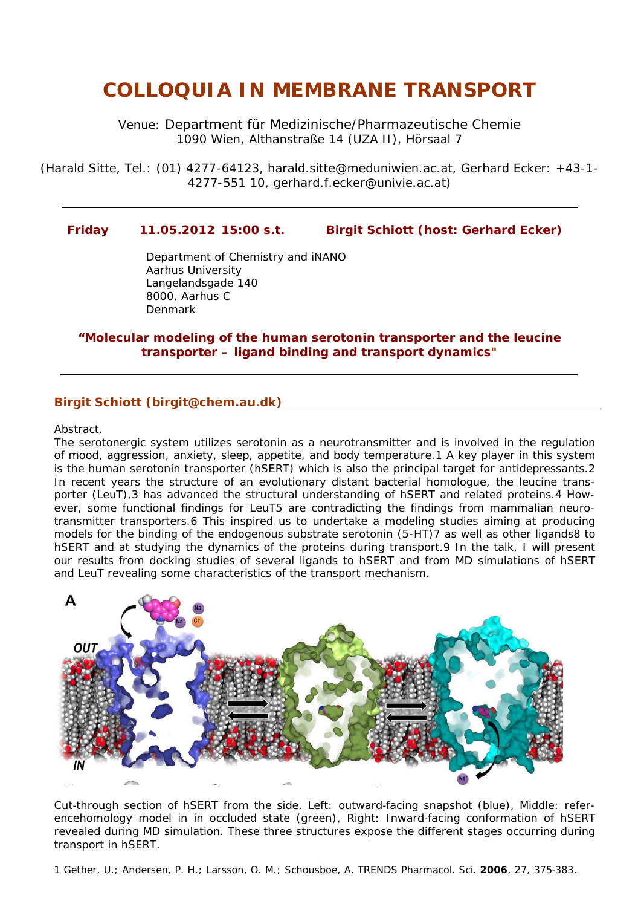## *COLLOQUIA IN MEMBRANE TRANSPORT*

Venue: [Department für Medizinische/Pharmazeutische Chemie](http://online.univie.ac.at/inst?inum=A551)  1090 Wien, Althanstraße 14 (UZA II), Hörsaal 7

(Harald Sitte, Tel.: (01) 4277-64123, [harald.sitte@meduniwien.ac.at](mailto:harald.sitte@meduniwien.ac.at), Gerhard Ecker: +43-1- 4277-551 10, [gerhard.f.ecker@univie.ac.at\)](mailto:gerhard.f.ecker@univie.ac.at)

## **Friday 11.05.2012 15:00 s.t. Birgit Schiott (host: Gerhard Ecker)**

Department of Chemistry and iNANO Aarhus University Langelandsgade 140 8000, Aarhus C Denmark

## *"Molecular modeling of the human serotonin transporter and the leucine transporter – ligand binding and transport dynamics"*

## **Birgit Schiott (birgit@chem.au.dk)**

Abstract.

The serotonergic system utilizes serotonin as a neurotransmitter and is involved in the regulation of mood, aggression, anxiety, sleep, appetite, and body temperature.1 A key player in this system is the human serotonin transporter (hSERT) which is also the principal target for antidepressants.2 In recent years the structure of an evolutionary distant bacterial homologue, the leucine transporter (LeuT),3 has advanced the structural understanding of hSERT and related proteins.4 However, some functional findings for LeuT5 are contradicting the findings from mammalian neurotransmitter transporters.6 This inspired us to undertake a modeling studies aiming at producing models for the binding of the endogenous substrate serotonin (5-HT)7 as well as other ligands8 to hSERT and at studying the dynamics of the proteins during transport.9 In the talk, I will present our results from docking studies of several ligands to hSERT and from MD simulations of hSERT and LeuT revealing some characteristics of the transport mechanism.



*Cut-through section of hSERT from the side. Left: outward-facing snapshot (blue), Middle: referencehomology model in in occluded state (green), Right: Inward-facing conformation of hSERT revealed during MD simulation. These three structures expose the different stages occurring during transport in hSERT.* 

1 Gether, U.; Andersen, P. H.; Larsson, O. M.; Schousboe, A. *TRENDS Pharmacol. Sci.* **2006**, *27*, 375‐383.